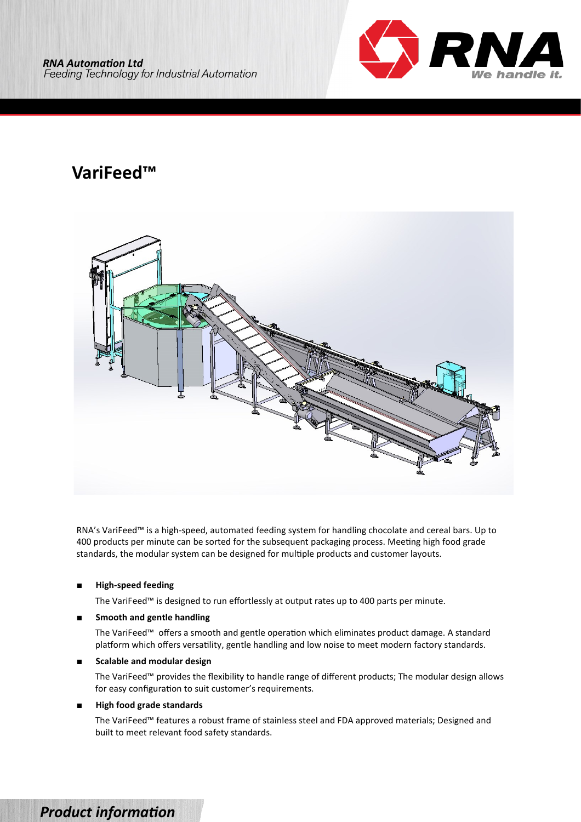

# **VariFeed™**



RNA's VariFeed™ is a high-speed, automated feeding system for handling chocolate and cereal bars. Up to 400 products per minute can be sorted for the subsequent packaging process. Meeting high food grade standards, the modular system can be designed for multiple products and customer layouts.

### ■ **High-speed feeding**

The VariFeed™ is designed to run effortlessly at output rates up to 400 parts per minute.

### **Smooth and gentle handling**

The VariFeed™ offers a smooth and gentle operation which eliminates product damage. A standard platform which offers versatility, gentle handling and low noise to meet modern factory standards.

### **Scalable and modular design**

The VariFeed™ provides the flexibility to handle range of different products; The modular design allows for easy configuration to suit customer's requirements.

### **High food grade standards**

The VariFeed™ features a robust frame of stainless steel and FDA approved materials; Designed and built to meet relevant food safety standards.

## *Product information*